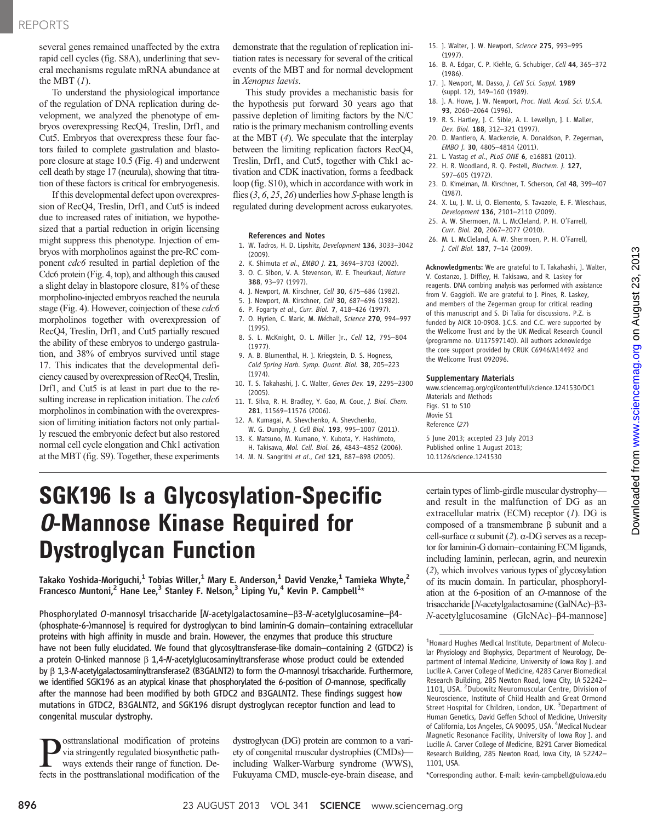several genes remained unaffected by the extra rapid cell cycles (fig. S8A), underlining that several mechanisms regulate mRNA abundance at the MBT  $(1)$ .

To understand the physiological importance of the regulation of DNA replication during development, we analyzed the phenotype of embryos overexpressing RecQ4, Treslin, Drf1, and Cut5. Embryos that overexpress these four factors failed to complete gastrulation and blastopore closure at stage 10.5 (Fig. 4) and underwent cell death by stage 17 (neurula), showing that titration of these factors is critical for embryogenesis.

If this developmental defect upon overexpression of RecQ4, Treslin, Drf1, and Cut5 is indeed due to increased rates of initiation, we hypothesized that a partial reduction in origin licensing might suppress this phenotype. Injection of embryos with morpholinos against the pre-RC component cdc6 resulted in partial depletion of the Cdc6 protein (Fig. 4, top), and although this caused a slight delay in blastopore closure, 81% of these morpholino-injected embryos reached the neurula stage (Fig. 4). However, coinjection of these *cdc6* morpholinos together with overexpression of RecQ4, Treslin, Drf1, and Cut5 partially rescued the ability of these embryos to undergo gastrulation, and 38% of embryos survived until stage 17. This indicates that the developmental deficiency caused by overexpression of RecQ4, Treslin, Drf1, and Cut5 is at least in part due to the resulting increase in replication initiation. The *cdc6* morpholinos in combination with the overexpression of limiting initiation factors not only partially rescued the embryonic defect but also restored normal cell cycle elongation and Chk1 activation at the MBT (fig. S9). Together, these experiments

demonstrate that the regulation of replication initiation rates is necessary for several of the critical events of the MBT and for normal development in Xenopus laevis.

This study provides a mechanistic basis for the hypothesis put forward 30 years ago that passive depletion of limiting factors by the N/C ratio is the primary mechanism controlling events at the MBT (4). We speculate that the interplay between the limiting replication factors RecQ4, Treslin, Drf1, and Cut5, together with Chk1 activation and CDK inactivation, forms a feedback loop (fig. S10), which in accordance with work in flies  $(3, 6, 25, 26)$  underlies how S-phase length is regulated during development across eukaryotes.

#### References and Notes

- 1. W. Tadros, H. D. Lipshitz, Development 136, 3033–3042 (2009).
- 2. K. Shimuta et al., EMBO J. 21, 3694–3703 (2002).
- 3. O. C. Sibon, V. A. Stevenson, W. E. Theurkauf, Nature 388, 93–97 (1997).
- 4. J. Newport, M. Kirschner, Cell 30, 675–686 (1982).
- 5. J. Newport, M. Kirschner, Cell 30, 687–696 (1982).
- 6. P. Fogarty et al., Curr. Biol. 7, 418–426 (1997).
- 7. O. Hyrien, C. Maric, M. Méchali, Science 270, 994–997 (1995). 8. S. L. McKnight, O. L. Miller Jr., Cell 12, 795–804
- (1977). 9. A. B. Blumenthal, H. J. Kriegstein, D. S. Hogness, Cold Spring Harb. Symp. Quant. Biol. 38, 205–223
- (1974). 10. T. S. Takahashi, J. C. Walter, Genes Dev. 19, 2295–2300 (2005).
- 11. T. Silva, R. H. Bradley, Y. Gao, M. Coue, J. Biol. Chem. 281, 11569–11576 (2006).
- 12. A. Kumagai, A. Shevchenko, A. Shevchenko, W. G. Dunphy, J. Cell Biol. 193, 995–1007 (2011).
- 13. K. Matsuno, M. Kumano, Y. Kubota, Y. Hashimoto, H. Takisawa, Mol. Cell. Biol. 26, 4843–4852 (2006).
- 14. M. N. Sangrithi et al., Cell 121, 887-898 (2005).
- 15. J. Walter, J. W. Newport, Science 275, 993–995 (1997).
- 16. B. A. Edgar, C. P. Kiehle, G. Schubiger, Cell 44, 365–372 (1986).
- 17. J. Newport, M. Dasso, J. Cell Sci. Suppl. 1989 (suppl. 12), 149–160 (1989).
- 18. J. A. Howe, J. W. Newport, Proc. Natl. Acad. Sci. U.S.A. 93, 2060–2064 (1996).
- 19. R. S. Hartley, J. C. Sible, A. L. Lewellyn, J. L. Maller, Dev. Biol. 188, 312–321 (1997).
- 20. D. Mantiero, A. Mackenzie, A. Donaldson, P. Zegerman, EMBO J. 30, 4805–4814 (2011).
- 21. L. Vastag et al., PLoS ONE 6, e16881 (2011).
- 22. H. R. Woodland, R. Q. Pestell, Biochem. J. 127, 597–605 (1972).
- 23. D. Kimelman, M. Kirschner, T. Scherson, Cell 48, 399–407 (1987).
- 24. X. Lu, J. M. Li, O. Elemento, S. Tavazoie, E. F. Wieschaus, Development 136, 2101–2110 (2009).
- 25. A. W. Shermoen, M. L. McCleland, P. H. O'Farrell, Curr. Biol. 20, 2067–2077 (2010).
- 26. M. L. McCleland, A. W. Shermoen, P. H. O'Farrell, J. Cell Biol. 187, 7–14 (2009).

Acknowledgments: We are grateful to T. Takahashi, J. Walter, V. Costanzo, J. Diffley, H. Takisawa, and R. Laskey for reagents. DNA combing analysis was performed with assistance from V. Gaggioli. We are grateful to J. Pines, R. Laskey, and members of the Zegerman group for critical reading of this manuscript and S. Di Talia for discussions. P.Z. is funded by AICR 10-0908. J.C.S. and C.C. were supported by the Wellcome Trust and by the UK Medical Research Council (programme no. U117597140). All authors acknowledge the core support provided by CRUK C6946/A14492 and the Wellcome Trust 092096.

#### Supplementary Materials

Reference (27)

www.sciencemag.org/cgi/content/full/science.1241530/DC1 Materials and Methods Figs. S1 to S10 Movie S1

5 June 2013; accepted 23 July 2013 Published online 1 August 2013; 10.1126/science.1241530

## SGK196 Is a Glycosylation-Specific *O*-Mannose Kinase Required for Dystroglycan Function

Takako Yoshida-Moriguchi,<sup>1</sup> Tobias Willer,<sup>1</sup> Mary E. Anderson,<sup>1</sup> David Venzke,<sup>1</sup> Tamieka Whyte,<sup>2</sup> Francesco Muntoni,<sup>2</sup> Hane Lee,<sup>3</sup> Stanley F. Nelson,<sup>3</sup> Liping Yu,<sup>4</sup> Kevin P. Campbell<sup>1</sup>\*

Phosphorylated O-mannosyl trisaccharide [N-acetylgalactosamine- $\beta$ 3-N-acetylglucosamine- $\beta$ 4-(phosphate-6-)mannose] is required for dystroglycan to bind laminin-G domain–containing extracellular proteins with high affinity in muscle and brain. However, the enzymes that produce this structure have not been fully elucidated. We found that glycosyltransferase-like domain–containing 2 (GTDC2) is a protein O-linked mannose  $\beta$  1,4-N-acetylglucosaminyltransferase whose product could be extended by b 1,3-N-acetylgalactosaminyltransferase2 (B3GALNT2) to form the O-mannosyl trisaccharide. Furthermore, we identified SGK196 as an atypical kinase that phosphorylated the 6-position of O-mannose, specifically after the mannose had been modified by both GTDC2 and B3GALNT2. These findings suggest how mutations in GTDC2, B3GALNT2, and SGK196 disrupt dystroglycan receptor function and lead to congenital muscular dystrophy.

**P**osttranslational modification of proteins<br>ways extends their range of function. De-<br>fects in the nosttranslational modification of the via stringently regulated biosynthetic pathways extends their range of function. Defects in the posttranslational modification of the dystroglycan (DG) protein are common to a variety of congenital muscular dystrophies (CMDs) including Walker-Warburg syndrome (WWS), Fukuyama CMD, muscle-eye-brain disease, and certain types of limb-girdle muscular dystrophy and result in the malfunction of DG as an extracellular matrix (ECM) receptor  $(1)$ . DG is composed of a transmembrane  $\beta$  subunit and a cell-surface  $\alpha$  subunit (2).  $\alpha$ -DG serves as a receptor for laminin-G domain–containing ECM ligands, including laminin, perlecan, agrin, and neurexin (2), which involves various types of glycosylation of its mucin domain. In particular, phosphorylation at the 6-position of an O-mannose of the trisaccharide [N-acetylgalactosamine (GalNAc)–b3- N-acetylglucosamine (GlcNAc)–β4-mannose]

\*Corresponding author. E-mail: kevin-campbell@uiowa.edu

<sup>&</sup>lt;sup>1</sup>Howard Hughes Medical Institute, Department of Molecular Physiology and Biophysics, Department of Neurology, Department of Internal Medicine, University of Iowa Roy J. and Lucille A. Carver College of Medicine, 4283 Carver Biomedical Research Building, 285 Newton Road, Iowa City, IA 52242– 1101, USA. <sup>2</sup> Dubowitz Neuromuscular Centre, Division of Neuroscience, Institute of Child Health and Great Ormond Street Hospital for Children, London, UK. <sup>3</sup> Department of Human Genetics, David Geffen School of Medicine, University of California, Los Angeles, CA 90095, USA. <sup>4</sup>Medical Nuclear Magnetic Resonance Facility, University of Iowa Roy J. and Lucille A. Carver College of Medicine, B291 Carver Biomedical Research Building, 285 Newton Road, Iowa City, IA 52242– 1101, USA.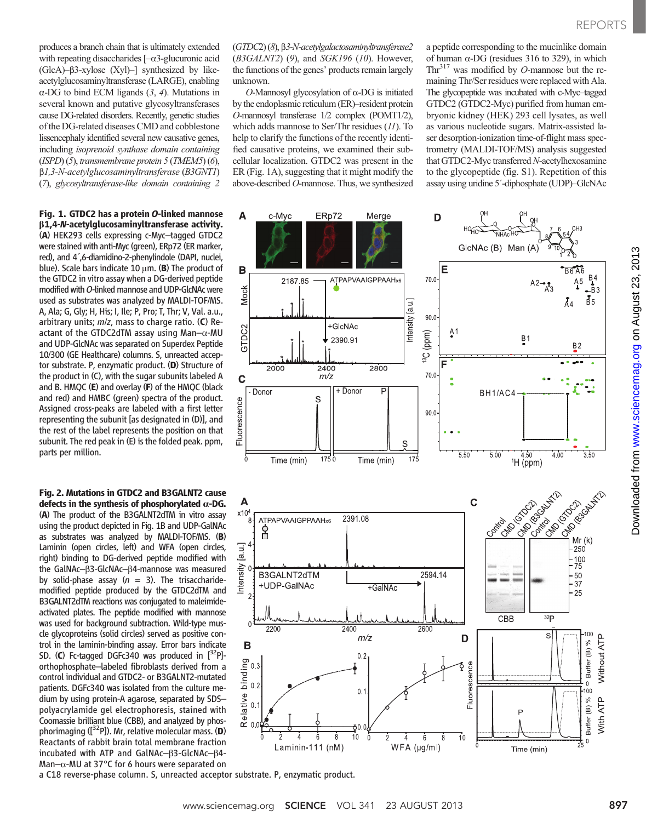produces a branch chain that is ultimately extended with repeating disaccharides  $[-\alpha 3]$ -glucuronic acid  $(GlcA)$ – $\beta$ 3-xylose  $(Xyl)$ –] synthesized by likeacetylglucosaminyltransferase (LARGE), enabling  $\alpha$ -DG to bind ECM ligands  $(3, 4)$ . Mutations in several known and putative glycosyltransferases cause DG-related disorders. Recently, genetic studies of the DG-related diseases CMD and cobblestone lissencephaly identified several new causative genes, including isoprenoid synthase domain containing (ISPD) (5), transmembrane protein 5 (TMEM5) (6), b1,3-N-acetylglucosaminyltransferase (B3GNT1) (7), glycosyltransferase-like domain containing 2

#### Fig. 1. GTDC2 has a protein O-linked mannose b1,4-N-acetylglucosaminyltransferase activity.

(A) HEK293 cells expressing c-Myc–tagged GTDC2 were stained with anti-Myc (green), ERp72 (ER marker, red), and 4´,6-diamidino-2-phenylindole (DAPI, nuclei, blue). Scale bars indicate 10  $\mu$ m. (B) The product of the GTDC2 in vitro assay when a DG-derived peptide modified with O-linked mannose and UDP-GlcNAc were used as substrates was analyzed by MALDI-TOF/MS. A, Ala; G, Gly; H, His; I, Ile; P, Pro; T, Thr; V, Val. a.u., arbitrary units;  $m/z$ , mass to charge ratio. (C) Reactant of the GTDC2dTM assay using Man $-\alpha$ -MU and UDP-GlcNAc was separated on Superdex Peptide 10/300 (GE Healthcare) columns. S, unreacted acceptor substrate. P, enzymatic product. (D) Structure of the product in (C), with the sugar subunits labeled A and B. HMQC (E) and overlay (F) of the HMQC (black and red) and HMBC (green) spectra of the product. Assigned cross-peaks are labeled with a first letter representing the subunit [as designated in (D)], and the rest of the label represents the position on that subunit. The red peak in (E) is the folded peak. ppm, parts per million.

Fig. 2. Mutations in GTDC2 and B3GALNT2 cause defects in the synthesis of phosphorylated  $\alpha$ -DG. (A) The product of the B3GALNT2dTM in vitro assay using the product depicted in Fig. 1B and UDP-GalNAc as substrates was analyzed by MALDI-TOF/MS. (B) Laminin (open circles, left) and WFA (open circles, right) binding to DG-derived peptide modified with the GalNAc-B3-GlcNAc-B4-mannose was measured by solid-phase assay ( $n = 3$ ). The trisaccharidemodified peptide produced by the GTDC2dTM and B3GALNT2dTM reactions was conjugated to maleimideactivated plates. The peptide modified with mannose was used for background subtraction. Wild-type muscle glycoproteins (solid circles) served as positive control in the laminin-binding assay. Error bars indicate SD. (C) Fc-tagged DGFc340 was produced in  $[^{32}P]$ orthophosphate–labeled fibroblasts derived from a control individual and GTDC2- or B3GALNT2-mutated patients. DGFc340 was isolated from the culture medium by using protein-A agarose, separated by SDS– polyacrylamide gel electrophoresis, stained with Coomassie brilliant blue (CBB), and analyzed by phosphorimaging ( $[3^{2}P]$ ). Mr, relative molecular mass. (D) Reactants of rabbit brain total membrane fraction incubated with ATP and GalNAc- $\beta$ 3-GlcNAc- $\beta$ 4-Man- $\alpha$ -MU at 37°C for 6 hours were separated on

(GTDC2) (8), b3-N-acetylgalactosaminyltransferase2  $(B3GALNT2)$  (9), and SGK196 (10). However, the functions of the genes' products remain largely unknown.

 $O$ -Mannosyl glycosylation of  $\alpha$ -DG is initiated by the endoplasmic reticulum (ER)–resident protein O-mannosyl transferase 1/2 complex (POMT1/2), which adds mannose to Ser/Thr residues (11). To help to clarify the functions of the recently identified causative proteins, we examined their subcellular localization. GTDC2 was present in the ER (Fig. 1A), suggesting that it might modify the above-described O-mannose. Thus, we synthesized

a peptide corresponding to the mucinlike domain of human  $\alpha$ -DG (residues 316 to 329), in which Thr<sup>317</sup> was modified by *O*-mannose but the remaining Thr/Ser residues were replaced with Ala. The glycopeptide was incubated with c-Myc–tagged GTDC2 (GTDC2-Myc) purified from human embryonic kidney (HEK) 293 cell lysates, as well as various nucleotide sugars. Matrix-assisted laser desorption-ionization time-of-flight mass spectrometry (MALDI-TOF/MS) analysis suggested that GTDC2-Myc transferred N-acetylhexosamine to the glycopeptide (fig. S1). Repetition of this assay using uridine 5´-diphosphate (UDP)–GlcNAc



a C18 reverse-phase column. S, unreacted acceptor substrate. P, enzymatic product.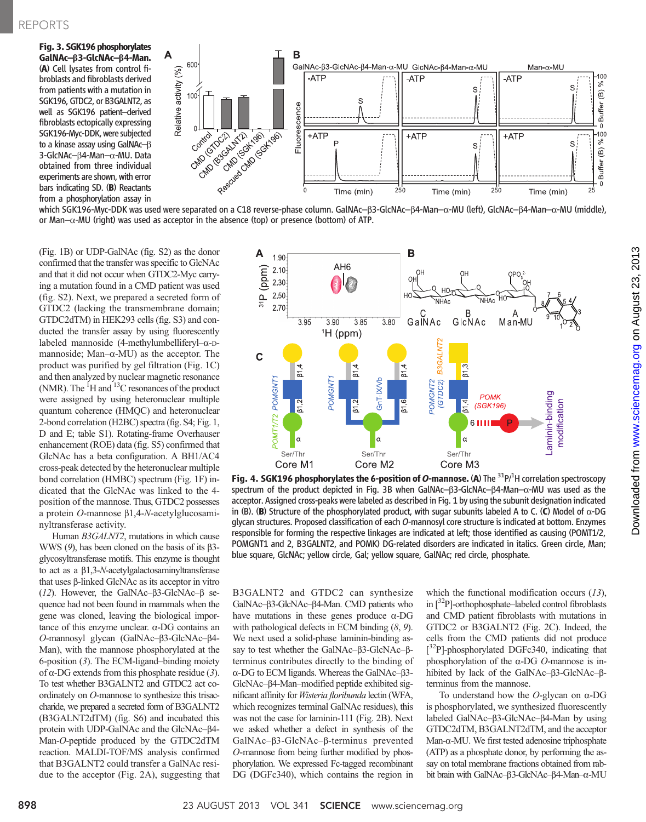Fig. 3. SGK196 phosphorylates GalNAc-B3-GlcNAc-B4-Man. (A) Cell lysates from control fibroblasts and fibroblasts derived from patients with a mutation in SGK196, GTDC2, or B3GALNT2, as well as SGK196 patient–derived fibroblasts ectopically expressing SGK196-Myc-DDK, were subjected to a kinase assay using GalNAc- $\beta$ 3-GlcNAc- $\beta$ 4-Man- $\alpha$ -MU. Data obtained from three individual experiments are shown, with error bars indicating SD. (B) Reactants from a phosphorylation assay in



which SGK196-Myc-DDK was used were separated on a C18 reverse-phase column. GalNAc–β3-GlcNAc–β4-Man–α-MU (left), GlcNAc–β4-Man–α-MU (middle), or Man- $\alpha$ -MU (right) was used as acceptor in the absence (top) or presence (bottom) of ATP.

(Fig. 1B) or UDP-GalNAc (fig. S2) as the donor confirmed that the transfer was specific to GlcNAc and that it did not occur when GTDC2-Myc carrying a mutation found in a CMD patient was used (fig. S2). Next, we prepared a secreted form of GTDC2 (lacking the transmembrane domain; GTDC2dTM) in HEK293 cells (fig. S3) and conducted the transfer assay by using fluorescently labeled mannoside (4-methylumbelliferyl– $\alpha$ -Dmannoside; Man- $\alpha$ -MU) as the acceptor. The product was purified by gel filtration (Fig. 1C) and then analyzed by nuclear magnetic resonance (NMR). The  ${}^{1}H$  and  ${}^{13}C$  resonances of the product were assigned by using heteronuclear multiple quantum coherence (HMQC) and heteronuclear 2-bond correlation (H2BC) spectra (fig. S4; Fig. 1, D and E; table S1). Rotating-frame Overhauser enhancement (ROE) data (fig. S5) confirmed that GlcNAc has a beta configuration. A BH1/AC4 cross-peak detected by the heteronuclear multiple bond correlation (HMBC) spectrum (Fig. 1F) indicated that the GlcNAc was linked to the 4 position of the mannose. Thus, GTDC2 possesses a protein  $O$ -mannose  $\beta$ 1,4-N-acetylglucosaminyltransferase activity.

Human B3GALNT2, mutations in which cause WWS (9), has been cloned on the basis of its  $\beta$ 3glycosyltransferase motifs. This enzyme is thought to act as a  $\beta$ 1,3-*N*-acetylgalactosaminyltransferase that uses β-linked GlcNAc as its acceptor in vitro (12). However, the GalNAc- $\beta$ 3-GlcNAc- $\beta$  sequence had not been found in mammals when the gene was cloned, leaving the biological importance of this enzyme unclear. a-DG contains an O-mannosyl glycan (GalNAc–B3-GlcNAc–B4-Man), with the mannose phosphorylated at the 6-position (3). The ECM-ligand–binding moiety of  $\alpha$ -DG extends from this phosphate residue (3). To test whether B3GALNT2 and GTDC2 act coordinately on O-mannose to synthesize this trisaccharide, we prepared a secreted form of B3GALNT2 (B3GALNT2dTM) (fig. S6) and incubated this protein with UDP-GalNAc and the GlcNAc- $\beta$ 4-Man-O-peptide produced by the GTDC2dTM reaction. MALDI-TOF/MS analysis confirmed that B3GALNT2 could transfer a GalNAc residue to the acceptor (Fig. 2A), suggesting that



Fig. 4. SGK196 phosphorylates the 6-position of O-mannose. (A) The  $31P$ <sup>/1</sup>H correlation spectroscopy spectrum of the product depicted in Fig. 3B when GalNAc-B3-GlcNAc-B4-Man-a-MU was used as the acceptor. Assigned cross-peaks were labeled as described in Fig. 1 by using the subunit designation indicated in (B). (B) Structure of the phosphorylated product, with sugar subunits labeled A to C. (C) Model of  $\alpha$ -DG glycan structures. Proposed classification of each O-mannosyl core structure is indicated at bottom. Enzymes responsible for forming the respective linkages are indicated at left; those identified as causing (POMT1/2, POMGNT1 and 2, B3GALNT2, and POMK) DG-related disorders are indicated in italics. Green circle, Man; blue square, GlcNAc; yellow circle, Gal; yellow square, GalNAc; red circle, phosphate.

B3GALNT2 and GTDC2 can synthesize GalNAc-B3-GlcNAc-B4-Man. CMD patients who have mutations in these genes produce  $\alpha$ -DG with pathological defects in ECM binding  $(8, 9)$ . We next used a solid-phase laminin-binding assay to test whether the GalNAc– $\beta$ 3-GlcNAc– $\beta$ terminus contributes directly to the binding of  $\alpha$ -DG to ECM ligands. Whereas the GalNAc– $\beta$ 3-GlcNAc–b4-Man–modified peptide exhibited significant affinity for Wisteria floribunda lectin (WFA, which recognizes terminal GalNAc residues), this was not the case for laminin-111 (Fig. 2B). Next we asked whether a defect in synthesis of the GalNAc– $\beta$ 3-GlcNAc– $\beta$ -terminus prevented O-mannose from being further modified by phosphorylation. We expressed Fc-tagged recombinant DG (DGFc340), which contains the region in

which the functional modification occurs  $(13)$ , in  $\lceil 3^2P \rceil$ -orthophosphate–labeled control fibroblasts and CMD patient fibroblasts with mutations in GTDC2 or B3GALNT2 (Fig. 2C). Indeed, the cells from the CMD patients did not produce [<sup>32</sup>P]-phosphorylated DGFc340, indicating that phosphorylation of the  $\alpha$ -DG  $O$ -mannose is inhibited by lack of the GalNAc– $\beta$ 3-GlcNAc– $\beta$ terminus from the mannose.

To understand how the  $O$ -glycan on  $\alpha$ -DG is phosphorylated, we synthesized fluorescently labeled GalNAc– $\beta$ 3-GlcNAc– $\beta$ 4-Man by using GTDC2dTM, B3GALNT2dTM, and the acceptor Man- $\alpha$ -MU. We first tested adenosine triphosphate (ATP) as a phosphate donor, by performing the assay on total membrane fractions obtained from rabbit brain with GalNAc-β3-GlcNAc-β4-Man-α-MU